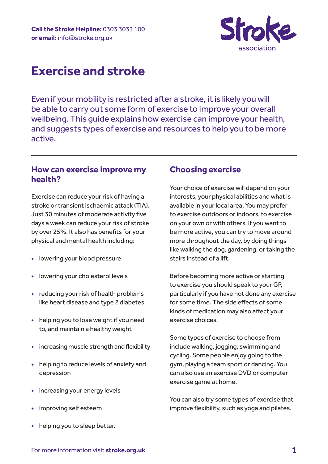

# **Exercise and stroke**

Even if your mobility is restricted after a stroke, it is likely you will be able to carry out some form of exercise to improve your overall wellbeing. This guide explains how exercise can improve your health, and suggests types of exercise and resources to help you to be more active.

## **How can exercise improve my health?**

Exercise can reduce your risk of having a stroke or transient ischaemic attack (TIA). Just 30 minutes of moderate activity five days a week can reduce your risk of stroke by over 25%. It also has benefits for your physical and mental health including:

- **•** lowering your blood pressure
- **•** lowering your cholesterol levels
- **•** reducing your risk of health problems like heart disease and type 2 diabetes
- **•** helping you to lose weight if you need to, and maintain a healthy weight
- **•** increasing muscle strength and flexibility
- **•** helping to reduce levels of anxiety and depression
- **•** increasing your energy levels
- **•** improving self esteem
- **•** helping you to sleep better.

### **Choosing exercise**

Your choice of exercise will depend on your interests, your physical abilities and what is available in your local area. You may prefer to exercise outdoors or indoors, to exercise on your own or with others. If you want to be more active, you can try to move around more throughout the day, by doing things like walking the dog, gardening, or taking the stairs instead of a lift.

Before becoming more active or starting to exercise you should speak to your GP, particularly if you have not done any exercise for some time. The side effects of some kinds of medication may also affect your exercise choices.

Some types of exercise to choose from include walking, jogging, swimming and cycling. Some people enjoy going to the gym, playing a team sport or dancing. You can also use an exercise DVD or computer exercise game at home.

You can also try some types of exercise that improve flexibility, such as yoga and pilates.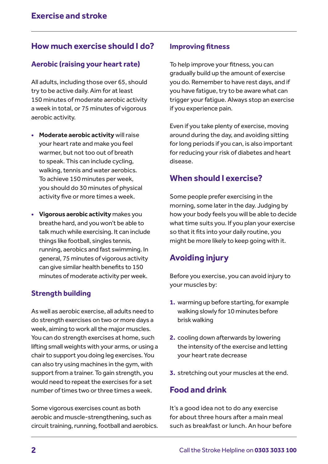# **How much exercise should I do?**

### **Aerobic (raising your heart rate)**

All adults, including those over 65, should try to be active daily. Aim for at least 150 minutes of moderate aerobic activity a week in total, or 75 minutes of vigorous aerobic activity.

- **• Moderate aerobic activity** will raise your heart rate and make you feel warmer, but not too out of breath to speak. This can include cycling, walking, tennis and water aerobics. To achieve 150 minutes per week, you should do 30 minutes of physical activity five or more times a week.
- **• Vigorous aerobic activity** makes you breathe hard, and you won't be able to talk much while exercising. It can include things like football, singles tennis, running, aerobics and fast swimming. In general, 75 minutes of vigorous activity can give similar health benefits to 150 minutes of moderate activity per week.

### **Strength building**

As well as aerobic exercise, all adults need to do strength exercises on two or more days a week, aiming to work all the major muscles. You can do strength exercises at home, such lifting small weights with your arms, or using a chair to support you doing leg exercises. You can also try using machines in the gym, with support from a trainer. To gain strength, you would need to repeat the exercises for a set number of times two or three times a week.

Some vigorous exercises count as both aerobic and muscle-strengthening, such as circuit training, running, football and aerobics.

### **Improving fitness**

To help improve your fitness, you can gradually build up the amount of exercise you do. Remember to have rest days, and if you have fatigue, try to be aware what can trigger your fatigue. Always stop an exercise if you experience pain.

Even if you take plenty of exercise, moving around during the day, and avoiding sitting for long periods if you can, is also important for reducing your risk of diabetes and heart disease.

# **When should I exercise?**

Some people prefer exercising in the morning, some later in the day. Judging by how your body feels you will be able to decide what time suits you. If you plan your exercise so that it fits into your daily routine, you might be more likely to keep going with it.

# **Avoiding injury**

Before you exercise, you can avoid injury to your muscles by:

- **1.** warming up before starting, for example walking slowly for 10 minutes before brisk walking
- **2.** cooling down afterwards by lowering the intensity of the exercise and letting your heart rate decrease
- **3.** stretching out your muscles at the end.

# **Food and drink**

It's a good idea not to do any exercise for about three hours after a main meal such as breakfast or lunch. An hour before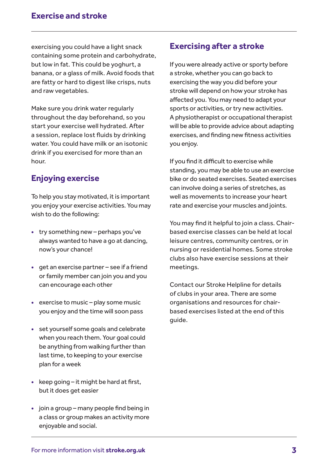exercising you could have a light snack containing some protein and carbohydrate, but low in fat. This could be yoghurt, a banana, or a glass of milk. Avoid foods that are fatty or hard to digest like crisps, nuts and raw vegetables.

Make sure you drink water regularly throughout the day beforehand, so you start your exercise well hydrated. After a session, replace lost fluids by drinking water. You could have milk or an isotonic drink if you exercised for more than an hour.

# **Enjoying exercise**

To help you stay motivated, it is important you enjoy your exercise activities. You may wish to do the following:

- **•** try something new perhaps you've always wanted to have a go at dancing, now's your chance!
- **•** get an exercise partner see if a friend or family member can join you and you can encourage each other
- **•** exercise to music play some music you enjoy and the time will soon pass
- **•** set yourself some goals and celebrate when you reach them. Your goal could be anything from walking further than last time, to keeping to your exercise plan for a week
- **•** keep going it might be hard at first, but it does get easier
- **•** join a group many people find being in a class or group makes an activity more enjoyable and social.

# **Exercising after a stroke**

If you were already active or sporty before a stroke, whether you can go back to exercising the way you did before your stroke will depend on how your stroke has affected you. You may need to adapt your sports or activities, or try new activities. A physiotherapist or occupational therapist will be able to provide advice about adapting exercises, and finding new fitness activities you enjoy.

If you find it difficult to exercise while standing, you may be able to use an exercise bike or do seated exercises. Seated exercises can involve doing a series of stretches, as well as movements to increase your heart rate and exercise your muscles and joints.

You may find it helpful to join a class. Chairbased exercise classes can be held at local leisure centres, community centres, or in nursing or residential homes. Some stroke clubs also have exercise sessions at their meetings.

Contact our Stroke Helpline for details of clubs in your area. There are some organisations and resources for chairbased exercises listed at the end of this guide.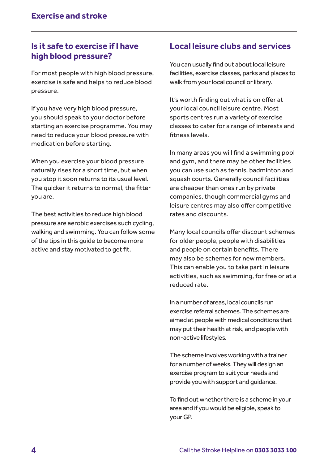# **Is it safe to exercise if I have high blood pressure?**

For most people with high blood pressure, exercise is safe and helps to reduce blood pressure.

If you have very high blood pressure, you should speak to your doctor before starting an exercise programme. You may need to reduce your blood pressure with medication before starting.

When you exercise your blood pressure naturally rises for a short time, but when you stop it soon returns to its usual level. The quicker it returns to normal, the fitter you are.

The best activities to reduce high blood pressure are aerobic exercises such cycling, walking and swimming. You can follow some of the tips in this guide to become more active and stay motivated to get fit.

# **Local leisure clubs and services**

You can usually find out about local leisure facilities, exercise classes, parks and places to walk from your local council or library.

It's worth finding out what is on offer at your local council leisure centre. Most sports centres run a variety of exercise classes to cater for a range of interests and fitness levels.

In many areas you will find a swimming pool and gym, and there may be other facilities you can use such as tennis, badminton and squash courts. Generally council facilities are cheaper than ones run by private companies, though commercial gyms and leisure centres may also offer competitive rates and discounts.

Many local councils offer discount schemes for older people, people with disabilities and people on certain benefits. There may also be schemes for new members. This can enable you to take part in leisure activities, such as swimming, for free or at a reduced rate.

In a number of areas, local councils run exercise referral schemes. The schemes are aimed at people with medical conditions that may put their health at risk, and people with non-active lifestyles.

The scheme involves working with a trainer for a number of weeks. They will design an exercise program to suit your needs and provide you with support and guidance.

To find out whether there is a scheme in your area and if you would be eligible, speak to your GP.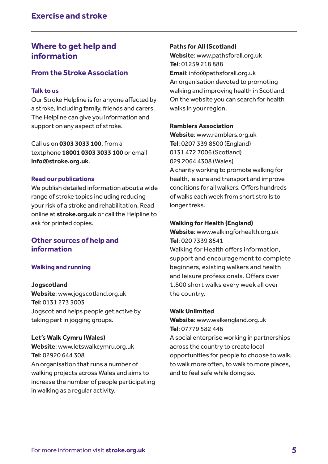# **Where to get help and information**

### **From the Stroke Association**

#### **Talk to us**

Our Stroke Helpline is for anyone affected by a stroke, including family, friends and carers. The Helpline can give you information and support on any aspect of stroke.

Call us on **0303 3033 100**, from a textphone **18001 0303 3033 100** or email **info@stroke.org.uk**.

#### **Read our publications**

We publish detailed information about a wide range of stroke topics including reducing your risk of a stroke and rehabilitation. Read online at **stroke.org.uk** or call the Helpline to ask for printed copies.

### **Other sources of help and information**

### **Walking and running**

#### **Jogscotland**

**Website**: www.jogscotland.org.uk **Tel**: 0131 273 3003 Jogscotland helps people get active by taking part in jogging groups.

#### **Let's Walk Cymru (Wales)**

**Website**: www.letswalkcymru.org.uk **Tel**: 02920 644 308 An organisation that runs a number of walking projects across Wales and aims to increase the number of people participating in walking as a regular activity.

### **Paths for All (Scotland)**

**Website**: www.pathsforall.org.uk **Tel**: 01259 218 888 **Email**: info@pathsforall.org.uk An organisation devoted to promoting walking and improving health in Scotland. On the website you can search for health walks in your region.

#### **Ramblers Association**

**Website**: www.ramblers.org.uk **Tel**: 0207 339 8500 (England) 0131 472 7006 (Scotland) 029 2064 4308 (Wales) A charity working to promote walking for health, leisure and transport and improve conditions for all walkers. Offers hundreds of walks each week from short strolls to longer treks.

### **Walking for Health (England)**

**Website**: www.walkingforhealth.org.uk **Tel**: 020 7339 8541

Walking for Health offers information, support and encouragement to complete beginners, existing walkers and health and leisure professionals. Offers over 1,800 short walks every week all over the country.

#### **Walk Unlimited**

**Website**: www.walkengland.org.uk **Tel**: 07779 582 446 A social enterprise working in partnerships across the country to create local opportunities for people to choose to walk, to walk more often, to walk to more places, and to feel safe while doing so.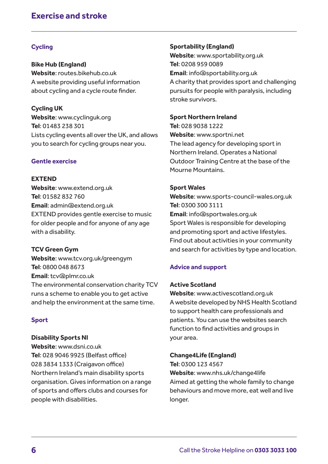# **Exercise and stroke**

### **Cycling**

**Bike Hub (England) Website**: routes.bikehub.co.uk A website providing useful information about cycling and a cycle route finder.

**Cycling UK Website**: www.cyclinguk.org **Tel**: 01483 238 301 Lists cycling events all over the UK, and allows you to search for cycling groups near you.

### **Gentle exercise**

#### **EXTEND**

**Website**: www.extend.org.uk **Tel**: 01582 832 760 **Email**: admin@extend.org.uk EXTEND provides gentle exercise to music for older people and for anyone of any age with a disability.

#### **TCV Green Gym**

**Website**: www.tcv.org.uk/greengym **Tel**: 0800 048 8673 **Email**: tcv@plmr.co.uk The environmental conservation charity TCV runs a scheme to enable you to get active and help the environment at the same time.

#### **Sport**

#### **Disability Sports NI**

**Website**: www.dsni.co.uk **Tel**: 028 9046 9925 (Belfast office) 028 3834 1333 (Craigavon office) Northern Ireland's main disability sports organisation. Gives information on a range of sports and offers clubs and courses for people with disabilities.

#### **Sportability (England)**

**Website**: www.sportability.org.uk **Tel**: 0208 959 0089 **Email**: info@sportability.org.uk A charity that provides sport and challenging pursuits for people with paralysis, including stroke survivors.

#### **Sport Northern Ireland**

**Tel**: 028 9038 1222 **Website**: www.sportni.net The lead agency for developing sport in Northern Ireland. Operates a National Outdoor Training Centre at the base of the Mourne Mountains.

#### **Sport Wales**

**Website**: www.sports-council-wales.org.uk **Tel**: 0300 300 3111 **Email**: info@sportwales.org.uk Sport Wales is responsible for developing and promoting sport and active lifestyles. Find out about activities in your community and search for activities by type and location.

#### **Advice and support**

#### **Active Scotland**

**Website**: www.activescotland.org.uk A website developed by NHS Health Scotland to support health care professionals and patients. You can use the websites search function to find activities and groups in your area.

#### **Change4Life (England)**

**Tel**: 0300 123 4567 **Website**: www.nhs.uk/change4life Aimed at getting the whole family to change behaviours and move more, eat well and live longer.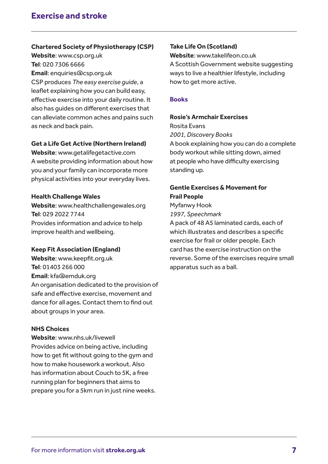#### **Chartered Society of Physiotherapy (CSP)**

**Website**: www.csp.org.uk **Tel**: 020 7306 6666 **Email**: enquiries@csp.org.uk CSP produces *The easy exercise guide*, a

leaflet explaining how you can build easy, effective exercise into your daily routine. It also has guides on different exercises that can alleviate common aches and pains such as neck and back pain.

#### **Get a Life Get Active (Northern Ireland)**

**Website**: www.getalifegetactive.com A website providing information about how you and your family can incorporate more physical activities into your everyday lives.

#### **Health Challenge Wales**

**Website**: www.healthchallengewales.org **Tel**: 029 2022 7744 Provides information and advice to help improve health and wellbeing.

#### **Keep Fit Association (England)**

**Website**: www.keepfit.org.uk **Tel**: 01403 266 000 **Email**: kfa@emduk.org An organisation dedicated to the provision of safe and effective exercise, movement and dance for all ages. Contact them to find out about groups in your area.

#### **NHS Choices**

**Website**: www.nhs.uk/livewell Provides advice on being active, including how to get fit without going to the gym and how to make housework a workout. Also has information about Couch to 5K, a free running plan for beginners that aims to prepare you for a 5km run in just nine weeks.

### **Take Life On (Scotland)**

**Website**: www.takelifeon.co.uk A Scottish Government website suggesting ways to live a healthier lifestyle, including how to get more active.

#### **Books**

#### **Rosie's Armchair Exercises**

Rosita Evans *2001, Discovery Books* A book explaining how you can do a complete body workout while sitting down, aimed at people who have difficulty exercising standing up.

### **Gentle Exercises & Movement for Frail People**

Myfanwy Hook *1997, Speechmark*

A pack of 48 A5 laminated cards, each of which illustrates and describes a specific exercise for frail or older people. Each card has the exercise instruction on the reverse. Some of the exercises require small apparatus such as a ball.